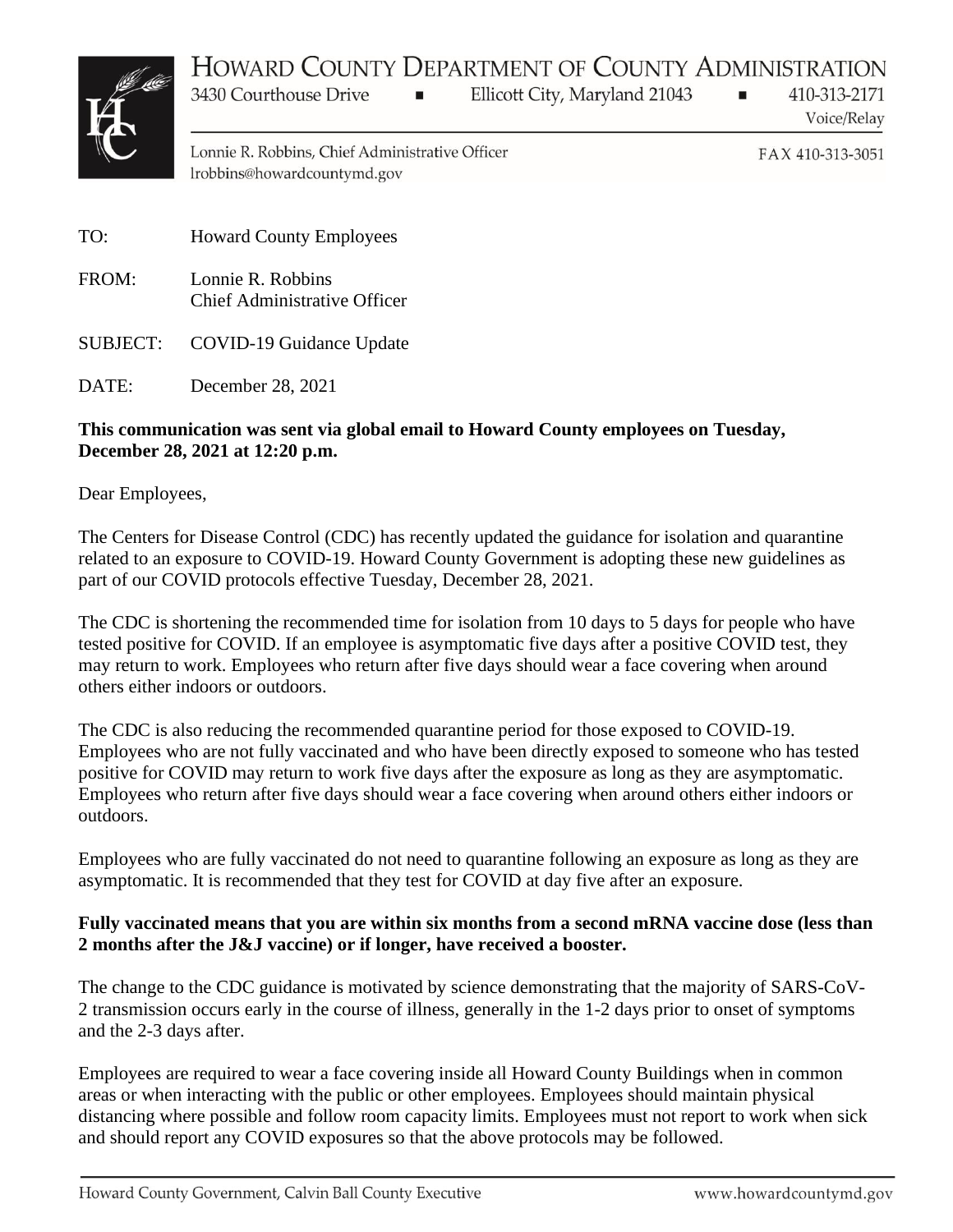## HOWARD COUNTY DEPARTMENT OF COUNTY ADMINISTRATION



Ellicott City, Maryland 21043

410-313-2171 Voice/Relay

Lonnie R. Robbins, Chief Administrative Officer lrobbins@howardcountymd.gov

 $\blacksquare$ 

FAX 410-313-3051

 $\blacksquare$ 

TO: Howard County Employees FROM: Lonnie R. Robbins Chief Administrative Officer

3430 Courthouse Drive

SUBJECT: COVID-19 Guidance Update

DATE: December 28, 2021

## **This communication was sent via global email to Howard County employees on Tuesday, December 28, 2021 at 12:20 p.m.**

Dear Employees,

The Centers for Disease Control (CDC) has recently updated the guidance for isolation and quarantine related to an exposure to COVID-19. Howard County Government is adopting these new guidelines as part of our COVID protocols effective Tuesday, December 28, 2021.

The CDC is shortening the recommended time for isolation from 10 days to 5 days for people who have tested positive for COVID. If an employee is asymptomatic five days after a positive COVID test, they may return to work. Employees who return after five days should wear a face covering when around others either indoors or outdoors.

The CDC is also reducing the recommended quarantine period for those exposed to COVID-19. Employees who are not fully vaccinated and who have been directly exposed to someone who has tested positive for COVID may return to work five days after the exposure as long as they are asymptomatic. Employees who return after five days should wear a face covering when around others either indoors or outdoors.

Employees who are fully vaccinated do not need to quarantine following an exposure as long as they are asymptomatic. It is recommended that they test for COVID at day five after an exposure.

## **Fully vaccinated means that you are within six months from a second mRNA vaccine dose (less than 2 months after the J&J vaccine) or if longer, have received a booster.**

The change to the CDC guidance is motivated by science demonstrating that the majority of SARS-CoV-2 transmission occurs early in the course of illness, generally in the 1-2 days prior to onset of symptoms and the 2-3 days after.

Employees are required to wear a face covering inside all Howard County Buildings when in common areas or when interacting with the public or other employees. Employees should maintain physical distancing where possible and follow room capacity limits. Employees must not report to work when sick and should report any COVID exposures so that the above protocols may be followed.